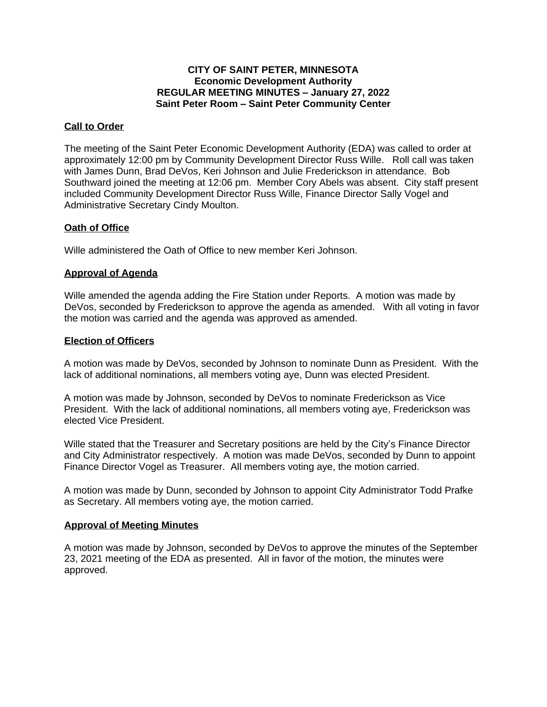## **CITY OF SAINT PETER, MINNESOTA Economic Development Authority REGULAR MEETING MINUTES – January 27, 2022 Saint Peter Room – Saint Peter Community Center**

#### **Call to Order**

The meeting of the Saint Peter Economic Development Authority (EDA) was called to order at approximately 12:00 pm by Community Development Director Russ Wille. Roll call was taken with James Dunn, Brad DeVos, Keri Johnson and Julie Frederickson in attendance. Bob Southward joined the meeting at 12:06 pm. Member Cory Abels was absent. City staff present included Community Development Director Russ Wille, Finance Director Sally Vogel and Administrative Secretary Cindy Moulton.

## **Oath of Office**

Wille administered the Oath of Office to new member Keri Johnson.

## **Approval of Agenda**

Wille amended the agenda adding the Fire Station under Reports. A motion was made by DeVos, seconded by Frederickson to approve the agenda as amended. With all voting in favor the motion was carried and the agenda was approved as amended.

## **Election of Officers**

A motion was made by DeVos, seconded by Johnson to nominate Dunn as President. With the lack of additional nominations, all members voting aye, Dunn was elected President.

A motion was made by Johnson, seconded by DeVos to nominate Frederickson as Vice President. With the lack of additional nominations, all members voting aye, Frederickson was elected Vice President.

Wille stated that the Treasurer and Secretary positions are held by the City's Finance Director and City Administrator respectively. A motion was made DeVos, seconded by Dunn to appoint Finance Director Vogel as Treasurer. All members voting aye, the motion carried.

A motion was made by Dunn, seconded by Johnson to appoint City Administrator Todd Prafke as Secretary. All members voting aye, the motion carried.

#### **Approval of Meeting Minutes**

A motion was made by Johnson, seconded by DeVos to approve the minutes of the September 23, 2021 meeting of the EDA as presented. All in favor of the motion, the minutes were approved.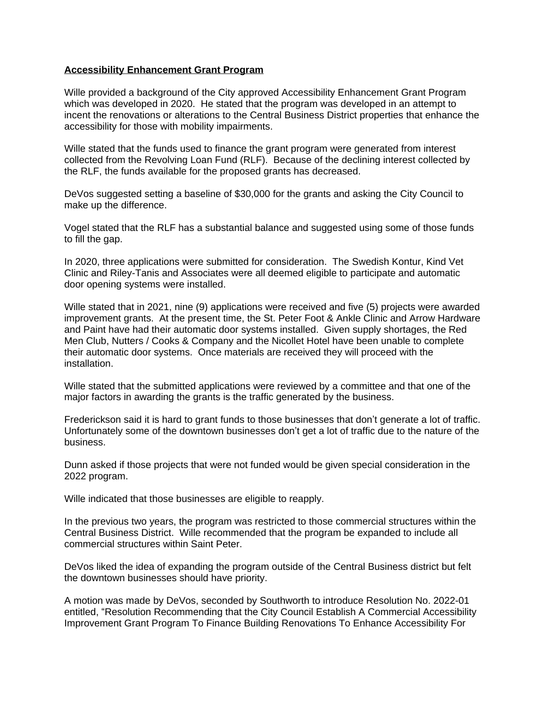## **Accessibility Enhancement Grant Program**

Wille provided a background of the City approved Accessibility Enhancement Grant Program which was developed in 2020. He stated that the program was developed in an attempt to incent the renovations or alterations to the Central Business District properties that enhance the accessibility for those with mobility impairments.

Wille stated that the funds used to finance the grant program were generated from interest collected from the Revolving Loan Fund (RLF). Because of the declining interest collected by the RLF, the funds available for the proposed grants has decreased.

DeVos suggested setting a baseline of \$30,000 for the grants and asking the City Council to make up the difference.

Vogel stated that the RLF has a substantial balance and suggested using some of those funds to fill the gap.

In 2020, three applications were submitted for consideration. The Swedish Kontur, Kind Vet Clinic and Riley-Tanis and Associates were all deemed eligible to participate and automatic door opening systems were installed.

Wille stated that in 2021, nine (9) applications were received and five (5) projects were awarded improvement grants. At the present time, the St. Peter Foot & Ankle Clinic and Arrow Hardware and Paint have had their automatic door systems installed. Given supply shortages, the Red Men Club, Nutters / Cooks & Company and the Nicollet Hotel have been unable to complete their automatic door systems. Once materials are received they will proceed with the installation.

Wille stated that the submitted applications were reviewed by a committee and that one of the major factors in awarding the grants is the traffic generated by the business.

Frederickson said it is hard to grant funds to those businesses that don't generate a lot of traffic. Unfortunately some of the downtown businesses don't get a lot of traffic due to the nature of the business.

Dunn asked if those projects that were not funded would be given special consideration in the 2022 program.

Wille indicated that those businesses are eligible to reapply.

In the previous two years, the program was restricted to those commercial structures within the Central Business District. Wille recommended that the program be expanded to include all commercial structures within Saint Peter.

DeVos liked the idea of expanding the program outside of the Central Business district but felt the downtown businesses should have priority.

A motion was made by DeVos, seconded by Southworth to introduce Resolution No. 2022-01 entitled, "Resolution Recommending that the City Council Establish A Commercial Accessibility Improvement Grant Program To Finance Building Renovations To Enhance Accessibility For